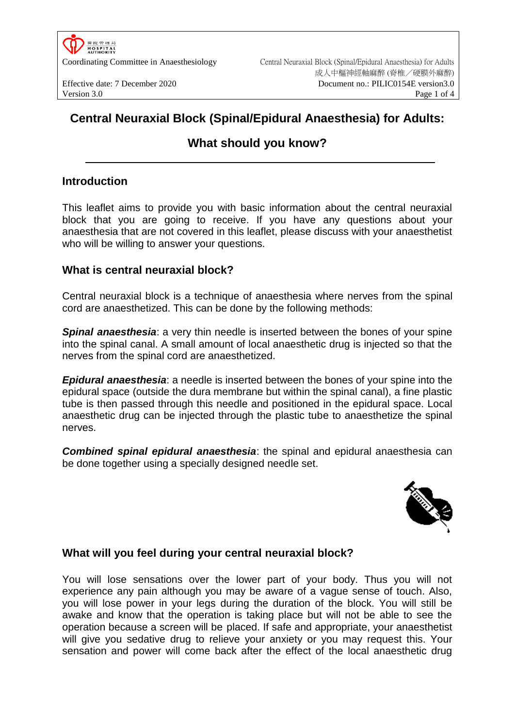

# **Central Neuraxial Block (Spinal/Epidural Anaesthesia) for Adults:**

# **What should you know?**

## **Introduction**

This leaflet aims to provide you with basic information about the central neuraxial block that you are going to receive. If you have any questions about your anaesthesia that are not covered in this leaflet, please discuss with your anaesthetist who will be willing to answer your questions.

## **What is central neuraxial block?**

Central neuraxial block is a technique of anaesthesia where nerves from the spinal cord are anaesthetized. This can be done by the following methods:

*Spinal anaesthesia*: a very thin needle is inserted between the bones of your spine into the spinal canal. A small amount of local anaesthetic drug is injected so that the nerves from the spinal cord are anaesthetized.

*Epidural anaesthesia*: a needle is inserted between the bones of your spine into the epidural space (outside the dura membrane but within the spinal canal), a fine plastic tube is then passed through this needle and positioned in the epidural space. Local anaesthetic drug can be injected through the plastic tube to anaesthetize the spinal nerves.

*Combined spinal epidural anaesthesia*: the spinal and epidural anaesthesia can be done together using a specially designed needle set.



# **What will you feel during your central neuraxial block?**

You will lose sensations over the lower part of your body. Thus you will not experience any pain although you may be aware of a vague sense of touch. Also, you will lose power in your legs during the duration of the block. You will still be awake and know that the operation is taking place but will not be able to see the operation because a screen will be placed. If safe and appropriate, your anaesthetist will give you sedative drug to relieve your anxiety or you may request this. Your sensation and power will come back after the effect of the local anaesthetic drug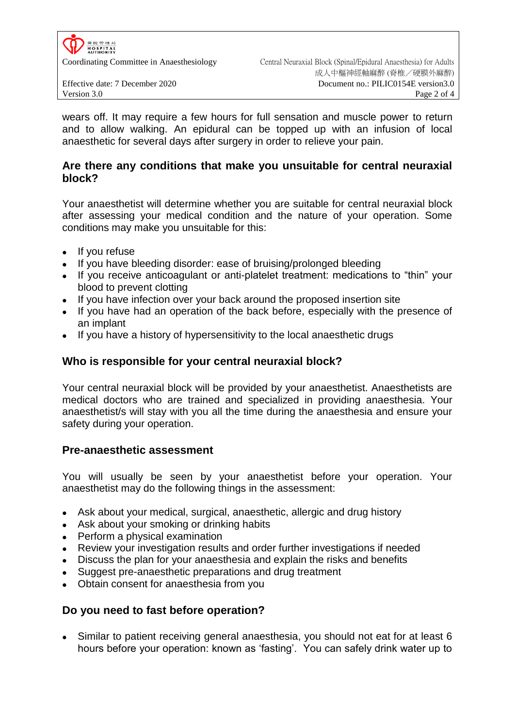

wears off. It may require a few hours for full sensation and muscle power to return and to allow walking. An epidural can be topped up with an infusion of local anaesthetic for several days after surgery in order to relieve your pain.

### **Are there any conditions that make you unsuitable for central neuraxial block?**

Your anaesthetist will determine whether you are suitable for central neuraxial block after assessing your medical condition and the nature of your operation. Some conditions may make you unsuitable for this:

- If you refuse
- If you have bleeding disorder: ease of bruising/prolonged bleeding
- If you receive anticoagulant or anti-platelet treatment: medications to "thin" your blood to prevent clotting
- If you have infection over your back around the proposed insertion site
- If you have had an operation of the back before, especially with the presence of an implant
- If you have a history of hypersensitivity to the local anaesthetic drugs

### **Who is responsible for your central neuraxial block?**

Your central neuraxial block will be provided by your anaesthetist. Anaesthetists are medical doctors who are trained and specialized in providing anaesthesia. Your anaesthetist/s will stay with you all the time during the anaesthesia and ensure your safety during your operation.

#### **Pre-anaesthetic assessment**

You will usually be seen by your anaesthetist before your operation. Your anaesthetist may do the following things in the assessment:

- Ask about your medical, surgical, anaesthetic, allergic and drug history
- Ask about your smoking or drinking habits
- Perform a physical examination
- Review your investigation results and order further investigations if needed
- Discuss the plan for your anaesthesia and explain the risks and benefits
- Suggest pre-anaesthetic preparations and drug treatment
- Obtain consent for anaesthesia from you

#### **Do you need to fast before operation?**

 Similar to patient receiving general anaesthesia, you should not eat for at least 6 hours before your operation: known as 'fasting'. You can safely drink water up to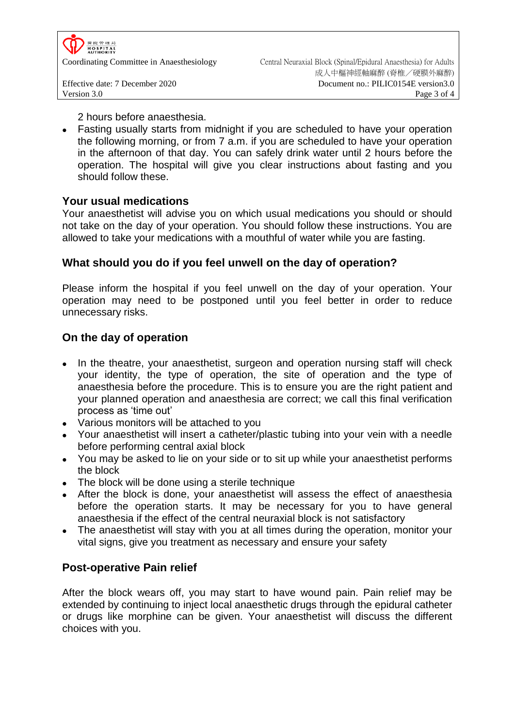

2 hours before anaesthesia.

 Fasting usually starts from midnight if you are scheduled to have your operation the following morning, or from 7 a.m. if you are scheduled to have your operation in the afternoon of that day. You can safely drink water until 2 hours before the operation. The hospital will give you clear instructions about fasting and you should follow these.

#### **Your usual medications**

Your anaesthetist will advise you on which usual medications you should or should not take on the day of your operation. You should follow these instructions. You are allowed to take your medications with a mouthful of water while you are fasting.

# **What should you do if you feel unwell on the day of operation?**

Please inform the hospital if you feel unwell on the day of your operation. Your operation may need to be postponed until you feel better in order to reduce unnecessary risks.

# **On the day of operation**

- In the theatre, your anaesthetist, surgeon and operation nursing staff will check your identity, the type of operation, the site of operation and the type of anaesthesia before the procedure. This is to ensure you are the right patient and your planned operation and anaesthesia are correct; we call this final verification process as 'time out'
- Various monitors will be attached to you
- Your anaesthetist will insert a catheter/plastic tubing into your vein with a needle before performing central axial block
- You may be asked to lie on your side or to sit up while your anaesthetist performs the block
- The block will be done using a sterile technique
- After the block is done, your anaesthetist will assess the effect of anaesthesia before the operation starts. It may be necessary for you to have general anaesthesia if the effect of the central neuraxial block is not satisfactory
- The anaesthetist will stay with you at all times during the operation, monitor your vital signs, give you treatment as necessary and ensure your safety

# **Post-operative Pain relief**

After the block wears off, you may start to have wound pain. Pain relief may be extended by continuing to inject local anaesthetic drugs through the epidural catheter or drugs like morphine can be given. Your anaesthetist will discuss the different choices with you.